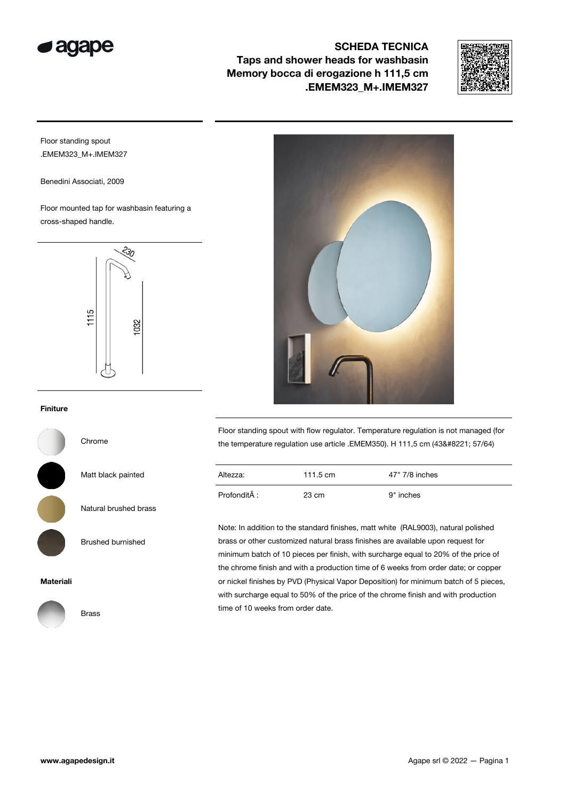

## SCHEDA TECNICA Taps and shower heads for washbasin Memory bocca di erogazione h 111,5 cm .EMEM323\_M+.IMEM327



Floor standing spout .EMEM323\_M+.IMEM327

Benedini Associati, 2009

Floor mounted tap for washbasin featuring a cross-shaped handle.



## Finiture

Chrome

Matt black painted

Natural brushed brass

Brushed burnished

Materiali



Floor standing spout with flow regulator. Temperature regulation is not managed (for the temperature regulation use article .EMEM350). H 111,5 cm (43" 57/64)

| Altezza:     | 111.5 $cm$ | 47" 7/8 inches |
|--------------|------------|----------------|
| ProfonditA : | 23 cm      | 9" inches      |

Note: In addition to the standard finishes, matt white (RAL9003), natural polished brass or other customized natural brass finishes are available upon request for minimum batch of 10 pieces per finish, with surcharge equal to 20% of the price of the chrome finish and with a production time of 6 weeks from order date; or copper or nickel finishes by PVD (Physical Vapor Deposition) for minimum batch of 5 pieces, with surcharge equal to 50% of the price of the chrome finish and with production time of 10 weeks from order date.

Brass